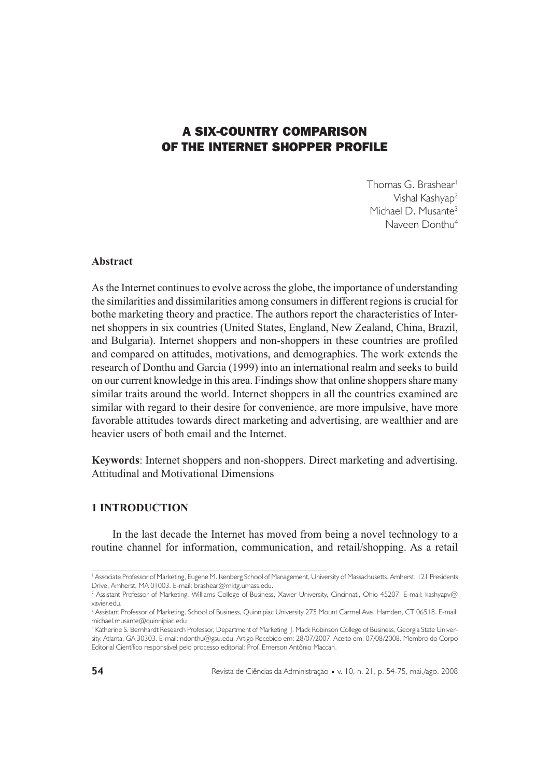# A SIX-COUNTRY COMPARISON OF THE INTERNET SHOPPER PROFILE

Thomas G. Brashear<sup>1</sup> Vishal Kashyap2 Michael D. Musante<sup>3</sup> Naveen Donthu<sup>4</sup>

#### **Abstract**

As the Internet continues to evolve across the globe, the importance of understanding the similarities and dissimilarities among consumers in different regions is crucial for bothe marketing theory and practice. The authors report the characteristics of Internet shoppers in six countries (United States, England, New Zealand, China, Brazil, and Bulgaria). Internet shoppers and non-shoppers in these countries are profiled and compared on attitudes, motivations, and demographics. The work extends the research of Donthu and Garcia (1999) into an international realm and seeks to build on our current knowledge in this area. Findings show that online shoppers share many similar traits around the world. Internet shoppers in all the countries examined are similar with regard to their desire for convenience, are more impulsive, have more favorable attitudes towards direct marketing and advertising, are wealthier and are heavier users of both email and the Internet.

**Keywords**: Internet shoppers and non-shoppers. Direct marketing and advertising. Attitudinal and Motivational Dimensions

#### **1 INTRODUCTION**

In the last decade the Internet has moved from being a novel technology to a routine channel for information, communication, and retail/shopping. As a retail

<sup>1</sup> Associate Professor of Marketing, Eugene M. Isenberg School of Management, University of Massachusetts. Amherst. 121 Presidents Drive, Amherst, MA 01003. E-mail: brashear@mktg.umass.edu.

<sup>2</sup> Assistant Professor of Marketing, Williams College of Business, Xavier University, Cincinnati, Ohio 45207. E-mail: kashyapv@ xavier.edu.

<sup>&</sup>lt;sup>3</sup> Assistant Professor of Marketing, School of Business, Quinnipiac University 275 Mount Carmel Ave. Hamden, CT 06518. E-mail: michael.musante@quinnipiac.edu

<sup>4</sup> Katherine S. Bernhardt Research Professor, Department of Marketing, J. Mack Robinson College of Business, Georgia State University. Atlanta, GA 30303. E-mail: ndonthu@gsu.edu. Artigo Recebido em: 28/07/2007. Aceito em: 07/08/2008. Membro do Corpo Editorial Científico responsável pelo processo editorial: Prof. Emerson Antônio Maccari.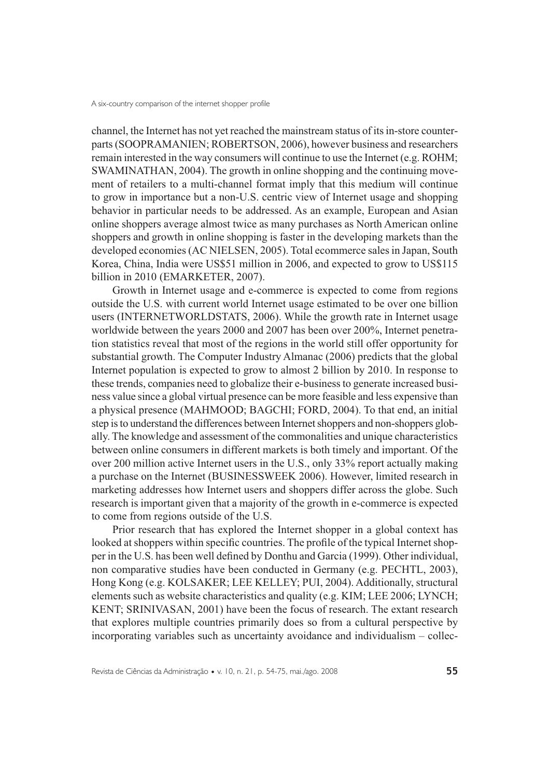channel, the Internet has not yet reached the mainstream status of its in-store counterparts (SOOPRAMANIEN; ROBERTSON, 2006), however business and researchers remain interested in the way consumers will continue to use the Internet (e.g. ROHM; SWAMINATHAN, 2004). The growth in online shopping and the continuing movement of retailers to a multi-channel format imply that this medium will continue to grow in importance but a non-U.S. centric view of Internet usage and shopping behavior in particular needs to be addressed. As an example, European and Asian online shoppers average almost twice as many purchases as North American online shoppers and growth in online shopping is faster in the developing markets than the developed economies (AC NIELSEN, 2005). Total ecommerce sales in Japan, South Korea, China, India were US\$51 million in 2006, and expected to grow to US\$115 billion in 2010 (EMARKETER, 2007).

Growth in Internet usage and e-commerce is expected to come from regions outside the U.S. with current world Internet usage estimated to be over one billion users (INTERNETWORLDSTATS, 2006). While the growth rate in Internet usage worldwide between the years 2000 and 2007 has been over 200%, Internet penetration statistics reveal that most of the regions in the world still offer opportunity for substantial growth. The Computer Industry Almanac (2006) predicts that the global Internet population is expected to grow to almost 2 billion by 2010. In response to these trends, companies need to globalize their e-business to generate increased business value since a global virtual presence can be more feasible and less expensive than a physical presence (MAHMOOD; BAGCHI; FORD, 2004). To that end, an initial step is to understand the differences between Internet shoppers and non-shoppers globally. The knowledge and assessment of the commonalities and unique characteristics between online consumers in different markets is both timely and important. Of the over 200 million active Internet users in the U.S., only 33% report actually making a purchase on the Internet (BUSINESSWEEK 2006). However, limited research in marketing addresses how Internet users and shoppers differ across the globe. Such research is important given that a majority of the growth in e-commerce is expected to come from regions outside of the U.S.

Prior research that has explored the Internet shopper in a global context has looked at shoppers within specific countries. The profile of the typical Internet shopper in the U.S. has been well defined by Donthu and Garcia (1999). Other individual, non comparative studies have been conducted in Germany (e.g. PECHTL, 2003), Hong Kong (e.g. KOLSAKER; LEE KELLEY; PUI, 2004). Additionally, structural elements such as website characteristics and quality (e.g. KIM; LEE 2006; LYNCH; KENT; SRINIVASAN, 2001) have been the focus of research. The extant research that explores multiple countries primarily does so from a cultural perspective by incorporating variables such as uncertainty avoidance and individualism – collec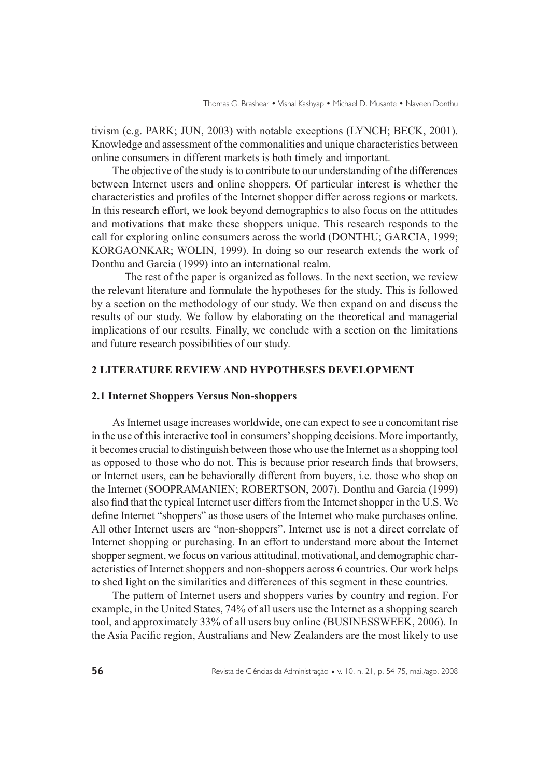tivism (e.g. PARK; JUN, 2003) with notable exceptions (LYNCH; BECK, 2001). Knowledge and assessment of the commonalities and unique characteristics between online consumers in different markets is both timely and important.

The objective of the study is to contribute to our understanding of the differences between Internet users and online shoppers. Of particular interest is whether the characteristics and profiles of the Internet shopper differ across regions or markets. In this research effort, we look beyond demographics to also focus on the attitudes and motivations that make these shoppers unique. This research responds to the call for exploring online consumers across the world (DONTHU; GARCIA, 1999; KORGAONKAR; WOLIN, 1999). In doing so our research extends the work of Donthu and Garcia (1999) into an international realm.

 The rest of the paper is organized as follows. In the next section, we review the relevant literature and formulate the hypotheses for the study. This is followed by a section on the methodology of our study. We then expand on and discuss the results of our study. We follow by elaborating on the theoretical and managerial implications of our results. Finally, we conclude with a section on the limitations and future research possibilities of our study.

# **2 LITERATURE REVIEW AND HYPOTHESES DEVELOPMENT**

#### **2.1 Internet Shoppers Versus Non-shoppers**

As Internet usage increases worldwide, one can expect to see a concomitant rise in the use of this interactive tool in consumers' shopping decisions. More importantly, it becomes crucial to distinguish between those who use the Internet as a shopping tool as opposed to those who do not. This is because prior research finds that browsers, or Internet users, can be behaviorally different from buyers, i.e. those who shop on the Internet (SOOPRAMANIEN; ROBERTSON, 2007). Donthu and Garcia (1999) also find that the typical Internet user differs from the Internet shopper in the U.S. We define Internet "shoppers" as those users of the Internet who make purchases online. All other Internet users are "non-shoppers". Internet use is not a direct correlate of Internet shopping or purchasing. In an effort to understand more about the Internet shopper segment, we focus on various attitudinal, motivational, and demographic characteristics of Internet shoppers and non-shoppers across 6 countries. Our work helps to shed light on the similarities and differences of this segment in these countries.

The pattern of Internet users and shoppers varies by country and region. For example, in the United States, 74% of all users use the Internet as a shopping search tool, and approximately 33% of all users buy online (BUSINESSWEEK, 2006). In the Asia Pacific region, Australians and New Zealanders are the most likely to use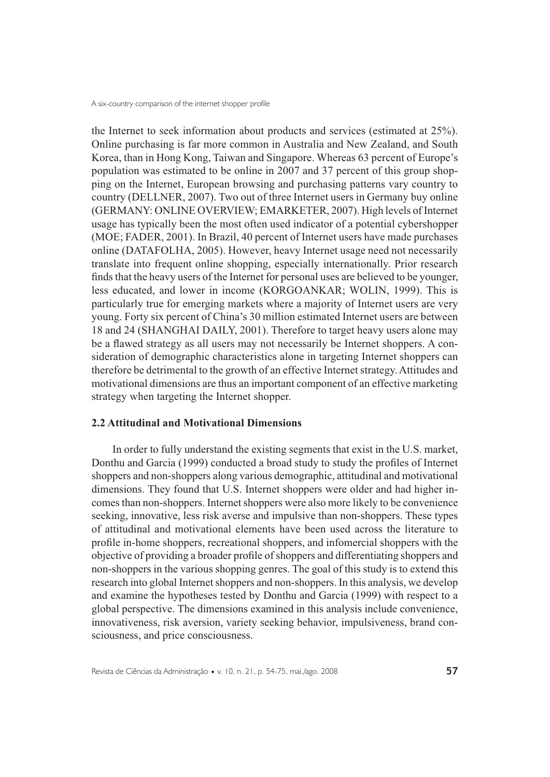the Internet to seek information about products and services (estimated at 25%). Online purchasing is far more common in Australia and New Zealand, and South Korea, than in Hong Kong, Taiwan and Singapore. Whereas 63 percent of Europe's population was estimated to be online in 2007 and 37 percent of this group shopping on the Internet, European browsing and purchasing patterns vary country to country (DELLNER, 2007). Two out of three Internet users in Germany buy online (GERMANY: ONLINE OVERVIEW; EMARKETER, 2007). High levels of Internet usage has typically been the most often used indicator of a potential cybershopper (MOE; FADER, 2001). In Brazil, 40 percent of Internet users have made purchases online (DATAFOLHA, 2005). However, heavy Internet usage need not necessarily translate into frequent online shopping, especially internationally. Prior research finds that the heavy users of the Internet for personal uses are believed to be younger, less educated, and lower in income (KORGOANKAR; WOLIN, 1999). This is particularly true for emerging markets where a majority of Internet users are very young. Forty six percent of China's 30 million estimated Internet users are between 18 and 24 (SHANGHAI DAILY, 2001). Therefore to target heavy users alone may be a flawed strategy as all users may not necessarily be Internet shoppers. A consideration of demographic characteristics alone in targeting Internet shoppers can therefore be detrimental to the growth of an effective Internet strategy. Attitudes and motivational dimensions are thus an important component of an effective marketing strategy when targeting the Internet shopper.

# **2.2 Attitudinal and Motivational Dimensions**

In order to fully understand the existing segments that exist in the U.S. market, Donthu and Garcia (1999) conducted a broad study to study the profiles of Internet shoppers and non-shoppers along various demographic, attitudinal and motivational dimensions. They found that U.S. Internet shoppers were older and had higher incomes than non-shoppers. Internet shoppers were also more likely to be convenience seeking, innovative, less risk averse and impulsive than non-shoppers. These types of attitudinal and motivational elements have been used across the literature to profile in-home shoppers, recreational shoppers, and infomercial shoppers with the objective of providing a broader profile of shoppers and differentiating shoppers and non-shoppers in the various shopping genres. The goal of this study is to extend this research into global Internet shoppers and non-shoppers. In this analysis, we develop and examine the hypotheses tested by Donthu and Garcia (1999) with respect to a global perspective. The dimensions examined in this analysis include convenience, innovativeness, risk aversion, variety seeking behavior, impulsiveness, brand consciousness, and price consciousness.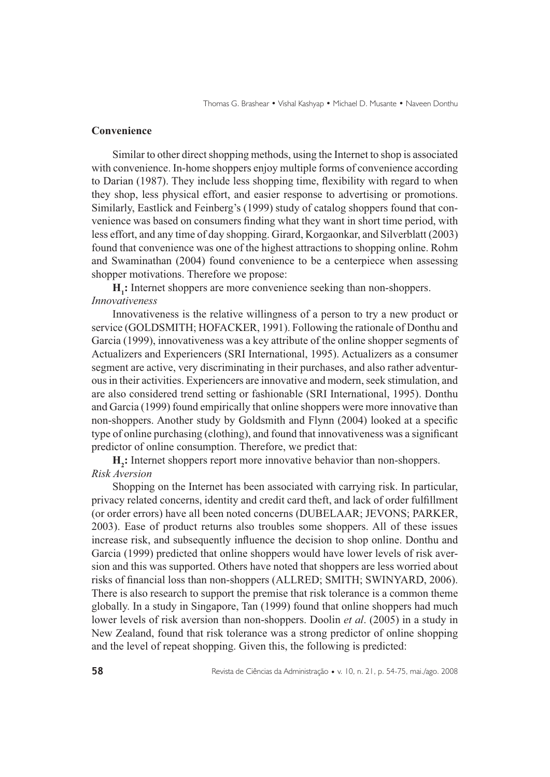Thomas G. Brashear • Vishal Kashyap • Michael D. Musante • Naveen Donthu

### **Convenience**

Similar to other direct shopping methods, using the Internet to shop is associated with convenience. In-home shoppers enjoy multiple forms of convenience according to Darian (1987). They include less shopping time, flexibility with regard to when they shop, less physical effort, and easier response to advertising or promotions. Similarly, Eastlick and Feinberg's (1999) study of catalog shoppers found that convenience was based on consumers finding what they want in short time period, with less effort, and any time of day shopping. Girard, Korgaonkar, and Silverblatt (2003) found that convenience was one of the highest attractions to shopping online. Rohm and Swaminathan (2004) found convenience to be a centerpiece when assessing shopper motivations. Therefore we propose:

**H1 :** Internet shoppers are more convenience seeking than non-shoppers. *Innovativeness*

Innovativeness is the relative willingness of a person to try a new product or service (GOLDSMITH; HOFACKER, 1991). Following the rationale of Donthu and Garcia (1999), innovativeness was a key attribute of the online shopper segments of Actualizers and Experiencers (SRI International, 1995). Actualizers as a consumer segment are active, very discriminating in their purchases, and also rather adventurous in their activities. Experiencers are innovative and modern, seek stimulation, and are also considered trend setting or fashionable (SRI International, 1995). Donthu and Garcia (1999) found empirically that online shoppers were more innovative than non-shoppers. Another study by Goldsmith and Flynn (2004) looked at a specific type of online purchasing (clothing), and found that innovativeness was a significant predictor of online consumption. Therefore, we predict that:

**H<sub>2</sub>**: Internet shoppers report more innovative behavior than non-shoppers. *Risk Aversion*

Shopping on the Internet has been associated with carrying risk. In particular, privacy related concerns, identity and credit card theft, and lack of order fulfillment (or order errors) have all been noted concerns (DUBELAAR; JEVONS; PARKER, 2003). Ease of product returns also troubles some shoppers. All of these issues increase risk, and subsequently influence the decision to shop online. Donthu and Garcia (1999) predicted that online shoppers would have lower levels of risk aversion and this was supported. Others have noted that shoppers are less worried about risks of financial loss than non-shoppers (ALLRED; SMITH; SWINYARD, 2006). There is also research to support the premise that risk tolerance is a common theme globally. In a study in Singapore, Tan (1999) found that online shoppers had much lower levels of risk aversion than non-shoppers. Doolin *et al*. (2005) in a study in New Zealand, found that risk tolerance was a strong predictor of online shopping and the level of repeat shopping. Given this, the following is predicted: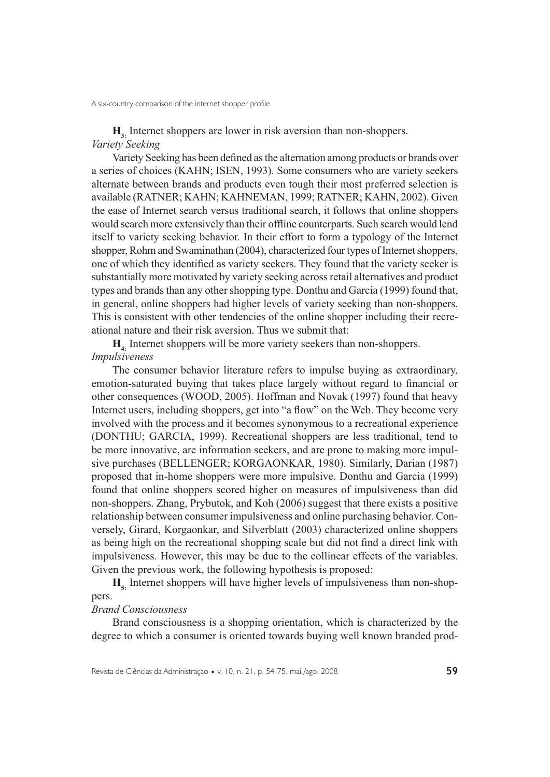**H<sub>3</sub>**. Internet shoppers are lower in risk aversion than non-shoppers. *Variety Seeking*

Variety Seeking has been defined as the alternation among products or brands over a series of choices (KAHN; ISEN, 1993). Some consumers who are variety seekers alternate between brands and products even tough their most preferred selection is available (RATNER; KAHN; KAHNEMAN, 1999; RATNER; KAHN, 2002). Given the ease of Internet search versus traditional search, it follows that online shoppers would search more extensively than their offline counterparts. Such search would lend itself to variety seeking behavior. In their effort to form a typology of the Internet shopper, Rohm and Swaminathan (2004), characterized four types of Internet shoppers, one of which they identified as variety seekers. They found that the variety seeker is substantially more motivated by variety seeking across retail alternatives and product types and brands than any other shopping type. Donthu and Garcia (1999) found that, in general, online shoppers had higher levels of variety seeking than non-shoppers. This is consistent with other tendencies of the online shopper including their recreational nature and their risk aversion. Thus we submit that:

**H<sub>4</sub>**. Internet shoppers will be more variety seekers than non-shoppers. *Impulsiveness*

The consumer behavior literature refers to impulse buying as extraordinary, emotion-saturated buying that takes place largely without regard to financial or other consequences (WOOD, 2005). Hoffman and Novak (1997) found that heavy Internet users, including shoppers, get into "a flow" on the Web. They become very involved with the process and it becomes synonymous to a recreational experience (DONTHU; GARCIA, 1999). Recreational shoppers are less traditional, tend to be more innovative, are information seekers, and are prone to making more impulsive purchases (BELLENGER; KORGAONKAR, 1980). Similarly, Darian (1987) proposed that in-home shoppers were more impulsive. Donthu and Garcia (1999) found that online shoppers scored higher on measures of impulsiveness than did non-shoppers. Zhang, Prybutok, and Koh (2006) suggest that there exists a positive relationship between consumer impulsiveness and online purchasing behavior. Conversely, Girard, Korgaonkar, and Silverblatt (2003) characterized online shoppers as being high on the recreational shopping scale but did not find a direct link with impulsiveness. However, this may be due to the collinear effects of the variables. Given the previous work, the following hypothesis is proposed:

**H<sub>5</sub>**. Internet shoppers will have higher levels of impulsiveness than non-shoppers.

#### *Brand Consciousness*

Brand consciousness is a shopping orientation, which is characterized by the degree to which a consumer is oriented towards buying well known branded prod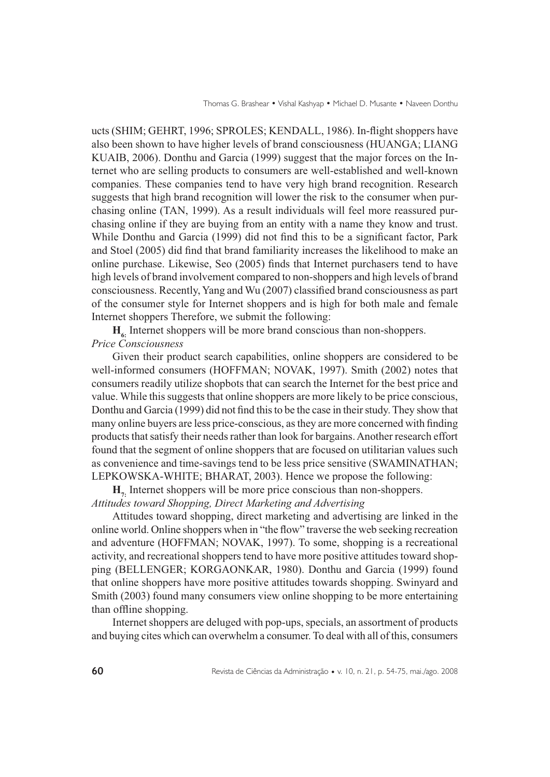ucts (SHIM; GEHRT, 1996; SPROLES; KENDALL, 1986). In-flight shoppers have also been shown to have higher levels of brand consciousness (HUANGA; LIANG KUAIB, 2006). Donthu and Garcia (1999) suggest that the major forces on the Internet who are selling products to consumers are well-established and well-known companies. These companies tend to have very high brand recognition. Research suggests that high brand recognition will lower the risk to the consumer when purchasing online (TAN, 1999). As a result individuals will feel more reassured purchasing online if they are buying from an entity with a name they know and trust. While Donthu and Garcia (1999) did not find this to be a significant factor, Park and Stoel (2005) did find that brand familiarity increases the likelihood to make an online purchase. Likewise, Seo (2005) finds that Internet purchasers tend to have high levels of brand involvement compared to non-shoppers and high levels of brand consciousness. Recently, Yang and Wu (2007) classified brand consciousness as part of the consumer style for Internet shoppers and is high for both male and female Internet shoppers Therefore, we submit the following:

H<sub>6</sub>: Internet shoppers will be more brand conscious than non-shoppers. *Price Consciousness*

Given their product search capabilities, online shoppers are considered to be well-informed consumers (HOFFMAN; NOVAK, 1997). Smith (2002) notes that consumers readily utilize shopbots that can search the Internet for the best price and value. While this suggests that online shoppers are more likely to be price conscious, Donthu and Garcia (1999) did not find this to be the case in their study. They show that many online buyers are less price-conscious, as they are more concerned with finding products that satisfy their needs rather than look for bargains. Another research effort found that the segment of online shoppers that are focused on utilitarian values such as convenience and time-savings tend to be less price sensitive (SWAMINATHAN; LEPKOWSKA-WHITE; BHARAT, 2003). Hence we propose the following:

**H<sub>7</sub>**. Internet shoppers will be more price conscious than non-shoppers. *Attitudes toward Shopping, Direct Marketing and Advertising*

Attitudes toward shopping, direct marketing and advertising are linked in the online world. Online shoppers when in "the flow" traverse the web seeking recreation and adventure (HOFFMAN; NOVAK, 1997). To some, shopping is a recreational activity, and recreational shoppers tend to have more positive attitudes toward shopping (BELLENGER; KORGAONKAR, 1980). Donthu and Garcia (1999) found that online shoppers have more positive attitudes towards shopping. Swinyard and Smith (2003) found many consumers view online shopping to be more entertaining than offline shopping.

Internet shoppers are deluged with pop-ups, specials, an assortment of products and buying cites which can overwhelm a consumer. To deal with all of this, consumers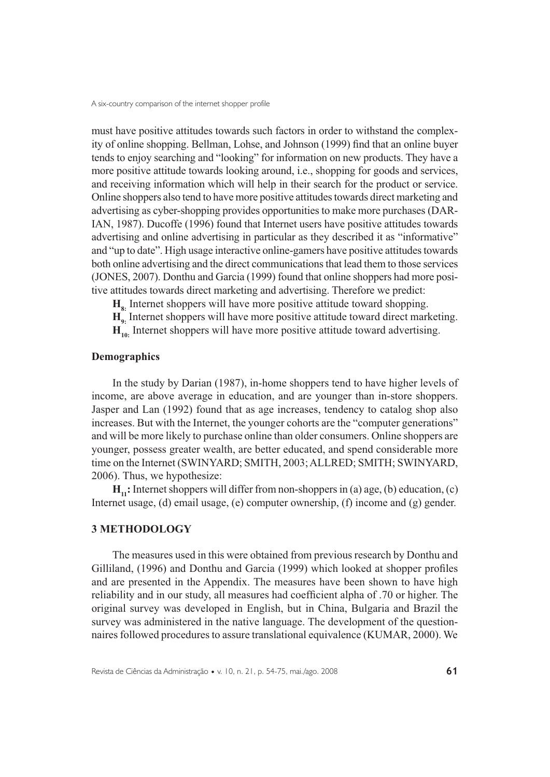must have positive attitudes towards such factors in order to withstand the complexity of online shopping. Bellman, Lohse, and Johnson (1999) find that an online buyer tends to enjoy searching and "looking" for information on new products. They have a more positive attitude towards looking around, i.e., shopping for goods and services, and receiving information which will help in their search for the product or service. Online shoppers also tend to have more positive attitudes towards direct marketing and advertising as cyber-shopping provides opportunities to make more purchases (DAR-IAN, 1987). Ducoffe (1996) found that Internet users have positive attitudes towards advertising and online advertising in particular as they described it as "informative" and "up to date". High usage interactive online-gamers have positive attitudes towards both online advertising and the direct communications that lead them to those services (JONES, 2007). Donthu and Garcia (1999) found that online shoppers had more positive attitudes towards direct marketing and advertising. Therefore we predict:

H<sub>9</sub>. Internet shoppers will have more positive attitude toward shopping.

H<sub>9</sub>. Internet shoppers will have more positive attitude toward direct marketing.

**H<sub>10</sub>**. Internet shoppers will have more positive attitude toward advertising.

#### **Demographics**

In the study by Darian (1987), in-home shoppers tend to have higher levels of income, are above average in education, and are younger than in-store shoppers. Jasper and Lan (1992) found that as age increases, tendency to catalog shop also increases. But with the Internet, the younger cohorts are the "computer generations" and will be more likely to purchase online than older consumers. Online shoppers are younger, possess greater wealth, are better educated, and spend considerable more time on the Internet (SWINYARD; SMITH, 2003; ALLRED; SMITH; SWINYARD, 2006). Thus, we hypothesize:

**H<sub>11</sub>:** Internet shoppers will differ from non-shoppers in (a) age, (b) education, (c) Internet usage, (d) email usage, (e) computer ownership, (f) income and (g) gender.

#### **3 METHODOLOGY**

The measures used in this were obtained from previous research by Donthu and Gilliland, (1996) and Donthu and Garcia (1999) which looked at shopper profiles and are presented in the Appendix. The measures have been shown to have high reliability and in our study, all measures had coefficient alpha of .70 or higher. The original survey was developed in English, but in China, Bulgaria and Brazil the survey was administered in the native language. The development of the questionnaires followed procedures to assure translational equivalence (KUMAR, 2000). We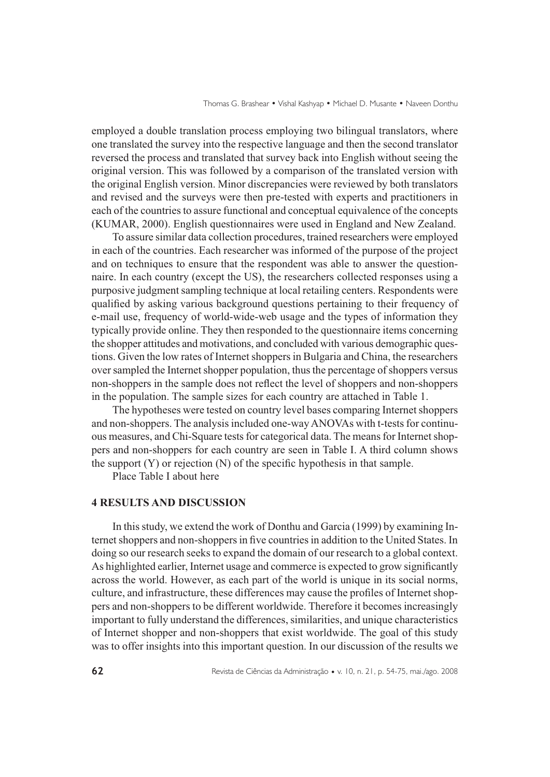employed a double translation process employing two bilingual translators, where one translated the survey into the respective language and then the second translator reversed the process and translated that survey back into English without seeing the original version. This was followed by a comparison of the translated version with the original English version. Minor discrepancies were reviewed by both translators and revised and the surveys were then pre-tested with experts and practitioners in each of the countries to assure functional and conceptual equivalence of the concepts (KUMAR, 2000). English questionnaires were used in England and New Zealand.

To assure similar data collection procedures, trained researchers were employed in each of the countries. Each researcher was informed of the purpose of the project and on techniques to ensure that the respondent was able to answer the questionnaire. In each country (except the US), the researchers collected responses using a purposive judgment sampling technique at local retailing centers. Respondents were qualified by asking various background questions pertaining to their frequency of e-mail use, frequency of world-wide-web usage and the types of information they typically provide online. They then responded to the questionnaire items concerning the shopper attitudes and motivations, and concluded with various demographic questions. Given the low rates of Internet shoppers in Bulgaria and China, the researchers over sampled the Internet shopper population, thus the percentage of shoppers versus non-shoppers in the sample does not reflect the level of shoppers and non-shoppers in the population. The sample sizes for each country are attached in Table 1.

The hypotheses were tested on country level bases comparing Internet shoppers and non-shoppers. The analysis included one-way ANOVAs with t-tests for continuous measures, and Chi-Square tests for categorical data. The means for Internet shoppers and non-shoppers for each country are seen in Table I. A third column shows the support (Y) or rejection (N) of the specific hypothesis in that sample.

Place Table I about here

### **4 RESULTS AND DISCUSSION**

In this study, we extend the work of Donthu and Garcia (1999) by examining Internet shoppers and non-shoppers in five countries in addition to the United States. In doing so our research seeks to expand the domain of our research to a global context. As highlighted earlier, Internet usage and commerce is expected to grow significantly across the world. However, as each part of the world is unique in its social norms, culture, and infrastructure, these differences may cause the profiles of Internet shoppers and non-shoppers to be different worldwide. Therefore it becomes increasingly important to fully understand the differences, similarities, and unique characteristics of Internet shopper and non-shoppers that exist worldwide. The goal of this study was to offer insights into this important question. In our discussion of the results we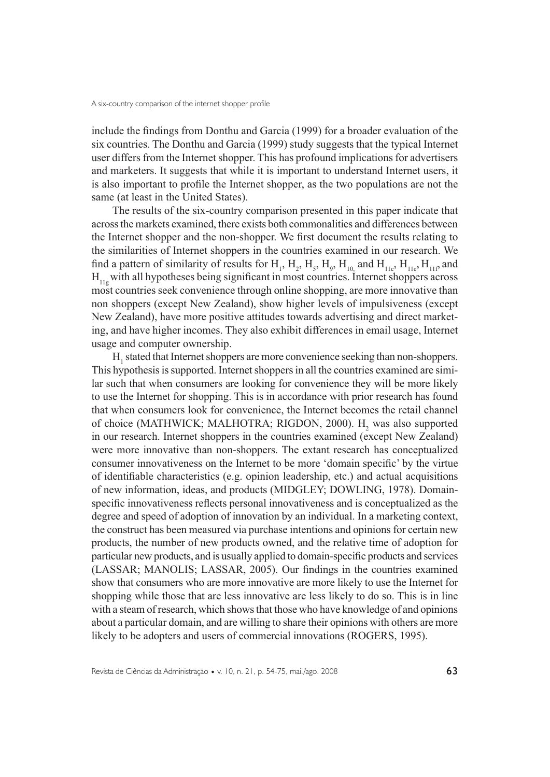include the findings from Donthu and Garcia (1999) for a broader evaluation of the six countries. The Donthu and Garcia (1999) study suggests that the typical Internet user differs from the Internet shopper. This has profound implications for advertisers and marketers. It suggests that while it is important to understand Internet users, it is also important to profile the Internet shopper, as the two populations are not the same (at least in the United States).

The results of the six-country comparison presented in this paper indicate that across the markets examined, there exists both commonalities and differences between the Internet shopper and the non-shopper. We first document the results relating to the similarities of Internet shoppers in the countries examined in our research. We find a pattern of similarity of results for  $H_1$ ,  $H_2$ ,  $H_5$ ,  $H_9$ ,  $H_{10}$ , and  $H_{11e}$ ,  $H_{11f}$ , and  $H_{11}$  with all hypotheses being significant in most countries. Internet shoppers across most countries seek convenience through online shopping, are more innovative than non shoppers (except New Zealand), show higher levels of impulsiveness (except New Zealand), have more positive attitudes towards advertising and direct marketing, and have higher incomes. They also exhibit differences in email usage, Internet usage and computer ownership.

H<sub>1</sub> stated that Internet shoppers are more convenience seeking than non-shoppers. This hypothesis is supported. Internet shoppers in all the countries examined are similar such that when consumers are looking for convenience they will be more likely to use the Internet for shopping. This is in accordance with prior research has found that when consumers look for convenience, the Internet becomes the retail channel of choice (MATHWICK; MALHOTRA; RIGDON, 2000).  $H_2$  was also supported in our research. Internet shoppers in the countries examined (except New Zealand) were more innovative than non-shoppers. The extant research has conceptualized consumer innovativeness on the Internet to be more 'domain specific' by the virtue of identifiable characteristics (e.g. opinion leadership, etc.) and actual acquisitions of new information, ideas, and products (MIDGLEY; DOWLING, 1978). Domainspecific innovativeness reflects personal innovativeness and is conceptualized as the degree and speed of adoption of innovation by an individual. In a marketing context, the construct has been measured via purchase intentions and opinions for certain new products, the number of new products owned, and the relative time of adoption for particular new products, and is usually applied to domain-specific products and services (LASSAR; MANOLIS; LASSAR, 2005). Our findings in the countries examined show that consumers who are more innovative are more likely to use the Internet for shopping while those that are less innovative are less likely to do so. This is in line with a steam of research, which shows that those who have knowledge of and opinions about a particular domain, and are willing to share their opinions with others are more likely to be adopters and users of commercial innovations (ROGERS, 1995).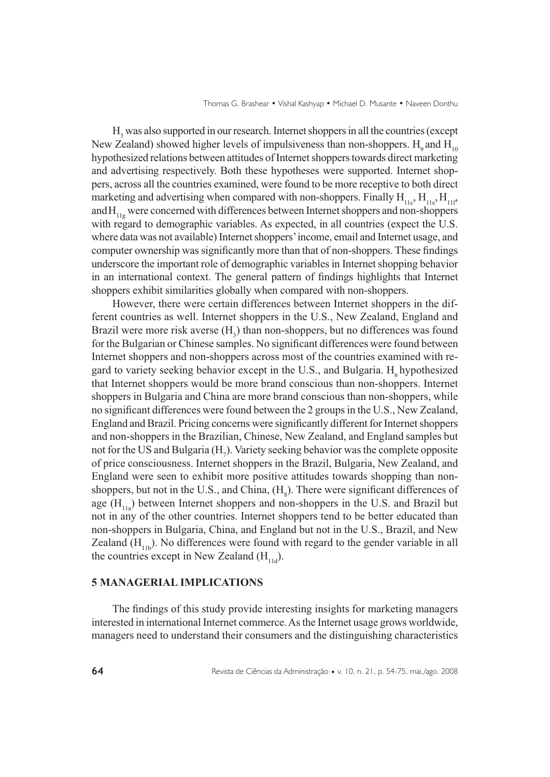H3 was also supported in our research. Internet shoppers in all the countries (except New Zealand) showed higher levels of impulsiveness than non-shoppers.  $H_0$  and  $H_{10}$ hypothesized relations between attitudes of Internet shoppers towards direct marketing and advertising respectively. Both these hypotheses were supported. Internet shoppers, across all the countries examined, were found to be more receptive to both direct marketing and advertising when compared with non-shoppers. Finally  $H_{11c}$ ,  $H_{11e}$ ,  $H_{11f}$ , and  $H_{11g}$  were concerned with differences between Internet shoppers and non-shoppers with regard to demographic variables. As expected, in all countries (expect the U.S. where data was not available) Internet shoppers' income, email and Internet usage, and computer ownership was significantly more than that of non-shoppers. These findings underscore the important role of demographic variables in Internet shopping behavior in an international context. The general pattern of findings highlights that Internet shoppers exhibit similarities globally when compared with non-shoppers.

However, there were certain differences between Internet shoppers in the different countries as well. Internet shoppers in the U.S., New Zealand, England and Brazil were more risk averse  $(H_3)$  than non-shoppers, but no differences was found for the Bulgarian or Chinese samples. No significant differences were found between Internet shoppers and non-shoppers across most of the countries examined with regard to variety seeking behavior except in the U.S., and Bulgaria.  $H_6$  hypothesized that Internet shoppers would be more brand conscious than non-shoppers. Internet shoppers in Bulgaria and China are more brand conscious than non-shoppers, while no significant differences were found between the 2 groups in the U.S., New Zealand, England and Brazil. Pricing concerns were significantly different for Internet shoppers and non-shoppers in the Brazilian, Chinese, New Zealand, and England samples but not for the US and Bulgaria  $(H_7)$ . Variety seeking behavior was the complete opposite of price consciousness. Internet shoppers in the Brazil, Bulgaria, New Zealand, and England were seen to exhibit more positive attitudes towards shopping than nonshoppers, but not in the U.S., and China,  $(H<sub>8</sub>)$ . There were significant differences of age  $(H_{11a})$  between Internet shoppers and non-shoppers in the U.S. and Brazil but not in any of the other countries. Internet shoppers tend to be better educated than non-shoppers in Bulgaria, China, and England but not in the U.S., Brazil, and New Zealand  $(H_{11b})$ . No differences were found with regard to the gender variable in all the countries except in New Zealand  $(H<sub>11d</sub>)$ .

# **5 MANAGERIAL IMPLICATIONS**

The findings of this study provide interesting insights for marketing managers interested in international Internet commerce. As the Internet usage grows worldwide, managers need to understand their consumers and the distinguishing characteristics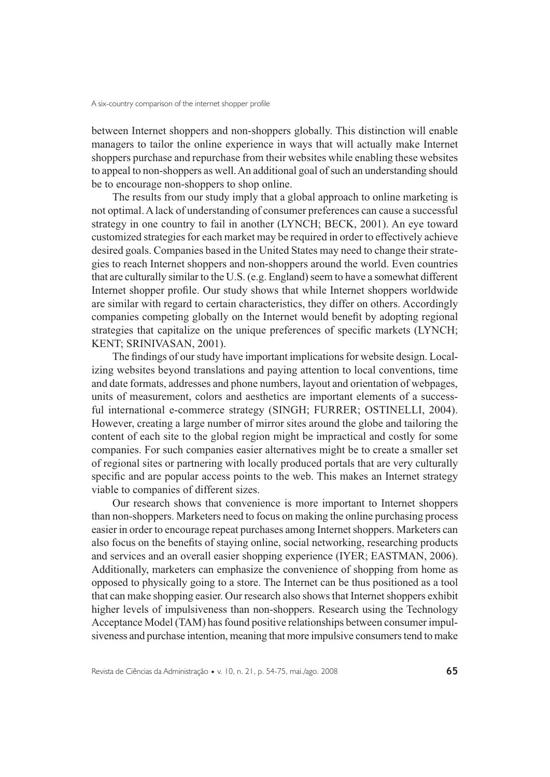between Internet shoppers and non-shoppers globally. This distinction will enable managers to tailor the online experience in ways that will actually make Internet shoppers purchase and repurchase from their websites while enabling these websites to appeal to non-shoppers as well. An additional goal of such an understanding should be to encourage non-shoppers to shop online.

The results from our study imply that a global approach to online marketing is not optimal. A lack of understanding of consumer preferences can cause a successful strategy in one country to fail in another (LYNCH; BECK, 2001). An eye toward customized strategies for each market may be required in order to effectively achieve desired goals. Companies based in the United States may need to change their strategies to reach Internet shoppers and non-shoppers around the world. Even countries that are culturally similar to the U.S. (e.g. England) seem to have a somewhat different Internet shopper profile. Our study shows that while Internet shoppers worldwide are similar with regard to certain characteristics, they differ on others. Accordingly companies competing globally on the Internet would benefit by adopting regional strategies that capitalize on the unique preferences of specific markets (LYNCH; KENT; SRINIVASAN, 2001).

The findings of our study have important implications for website design. Localizing websites beyond translations and paying attention to local conventions, time and date formats, addresses and phone numbers, layout and orientation of webpages, units of measurement, colors and aesthetics are important elements of a successful international e-commerce strategy (SINGH; FURRER; OSTINELLI, 2004). However, creating a large number of mirror sites around the globe and tailoring the content of each site to the global region might be impractical and costly for some companies. For such companies easier alternatives might be to create a smaller set of regional sites or partnering with locally produced portals that are very culturally specific and are popular access points to the web. This makes an Internet strategy viable to companies of different sizes.

Our research shows that convenience is more important to Internet shoppers than non-shoppers. Marketers need to focus on making the online purchasing process easier in order to encourage repeat purchases among Internet shoppers. Marketers can also focus on the benefits of staying online, social networking, researching products and services and an overall easier shopping experience (IYER; EASTMAN, 2006). Additionally, marketers can emphasize the convenience of shopping from home as opposed to physically going to a store. The Internet can be thus positioned as a tool that can make shopping easier. Our research also shows that Internet shoppers exhibit higher levels of impulsiveness than non-shoppers. Research using the Technology Acceptance Model (TAM) has found positive relationships between consumer impulsiveness and purchase intention, meaning that more impulsive consumers tend to make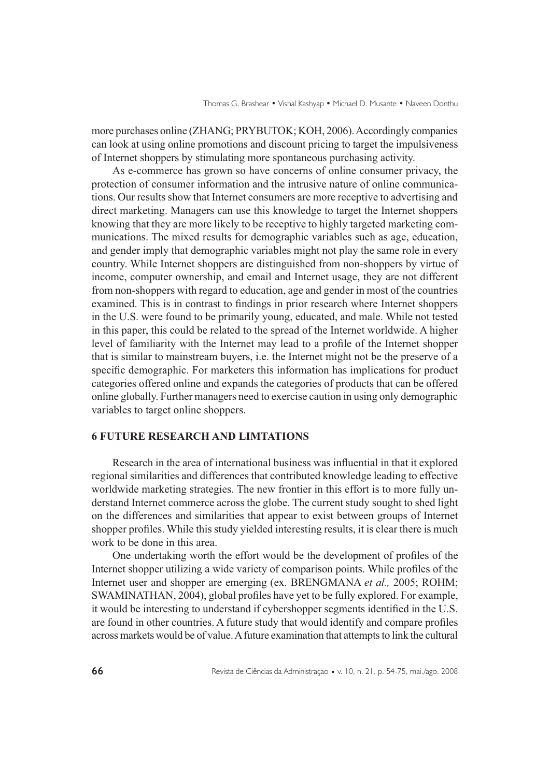more purchases online (ZHANG; PRYBUTOK; KOH, 2006). Accordingly companies can look at using online promotions and discount pricing to target the impulsiveness of Internet shoppers by stimulating more spontaneous purchasing activity.

As e-commerce has grown so have concerns of online consumer privacy, the protection of consumer information and the intrusive nature of online communications. Our results show that Internet consumers are more receptive to advertising and direct marketing. Managers can use this knowledge to target the Internet shoppers knowing that they are more likely to be receptive to highly targeted marketing communications. The mixed results for demographic variables such as age, education, and gender imply that demographic variables might not play the same role in every country. While Internet shoppers are distinguished from non-shoppers by virtue of income, computer ownership, and email and Internet usage, they are not different from non-shoppers with regard to education, age and gender in most of the countries examined. This is in contrast to findings in prior research where Internet shoppers in the U.S. were found to be primarily young, educated, and male. While not tested in this paper, this could be related to the spread of the Internet worldwide. A higher level of familiarity with the Internet may lead to a profile of the Internet shopper that is similar to mainstream buyers, i.e. the Internet might not be the preserve of a specific demographic. For marketers this information has implications for product categories offered online and expands the categories of products that can be offered online globally. Further managers need to exercise caution in using only demographic variables to target online shoppers.

# **6 FUTURE RESEARCH AND LIMTATIONS**

Research in the area of international business was influential in that it explored regional similarities and differences that contributed knowledge leading to effective worldwide marketing strategies. The new frontier in this effort is to more fully understand Internet commerce across the globe. The current study sought to shed light on the differences and similarities that appear to exist between groups of Internet shopper profiles. While this study yielded interesting results, it is clear there is much work to be done in this area.

One undertaking worth the effort would be the development of profiles of the Internet shopper utilizing a wide variety of comparison points. While profiles of the Internet user and shopper are emerging (ex. BRENGMANA *et al.,* 2005; ROHM; SWAMINATHAN, 2004), global profiles have yet to be fully explored. For example, it would be interesting to understand if cybershopper segments identified in the U.S. are found in other countries. A future study that would identify and compare profiles across markets would be of value. A future examination that attempts to link the cultural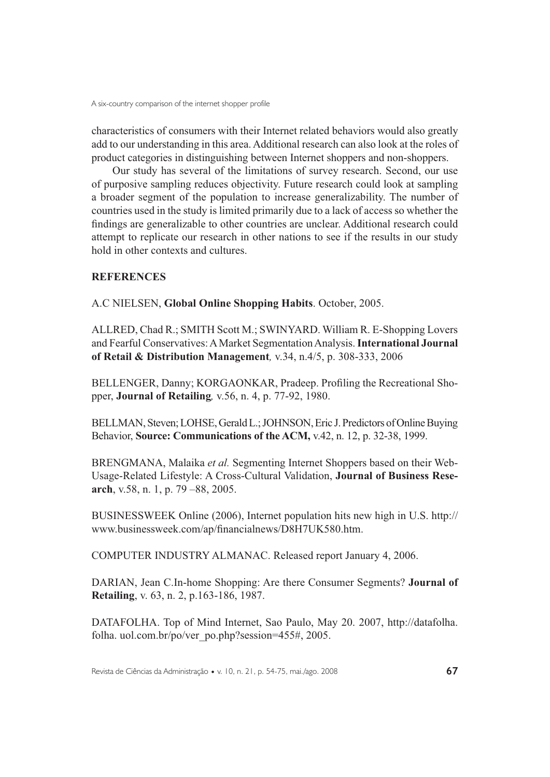characteristics of consumers with their Internet related behaviors would also greatly add to our understanding in this area. Additional research can also look at the roles of product categories in distinguishing between Internet shoppers and non-shoppers.

Our study has several of the limitations of survey research. Second, our use of purposive sampling reduces objectivity. Future research could look at sampling a broader segment of the population to increase generalizability. The number of countries used in the study is limited primarily due to a lack of access so whether the findings are generalizable to other countries are unclear. Additional research could attempt to replicate our research in other nations to see if the results in our study hold in other contexts and cultures.

# **REFERENCES**

A.C NIELSEN, **Global Online Shopping Habits**. October, 2005.

ALLRED, Chad R.; SMITH Scott M.; SWINYARD. William R. E-Shopping Lovers and Fearful Conservatives: A Market Segmentation Analysis. **International Journal of Retail & Distribution Management***,* v.34, n.4/5, p. 308-333, 2006

BELLENGER, Danny; KORGAONKAR, Pradeep. Profiling the Recreational Shopper, **Journal of Retailing***,* v.56, n. 4, p. 77-92, 1980.

BELLMAN, Steven; LOHSE, Gerald L.; JOHNSON, Eric J. Predictors of Online Buying Behavior, **Source: Communications of the ACM,** v.42, n. 12, p. 32-38, 1999.

BRENGMANA, Malaika *et al.* Segmenting Internet Shoppers based on their Web-Usage-Related Lifestyle: A Cross-Cultural Validation, **Journal of Business Research**, v.58, n. 1, p. 79 –88, 2005.

BUSINESSWEEK Online (2006), Internet population hits new high in U.S. http:// www.businessweek.com/ap/financialnews/D8H7UK580.htm.

COMPUTER INDUSTRY ALMANAC. Released report January 4, 2006.

DARIAN, Jean C.In-home Shopping: Are there Consumer Segments? **Journal of Retailing**, v. 63, n. 2, p.163-186, 1987.

DATAFOLHA. Top of Mind Internet, Sao Paulo, May 20. 2007, http://datafolha. folha. uol.com.br/po/ver\_po.php?session=455#, 2005.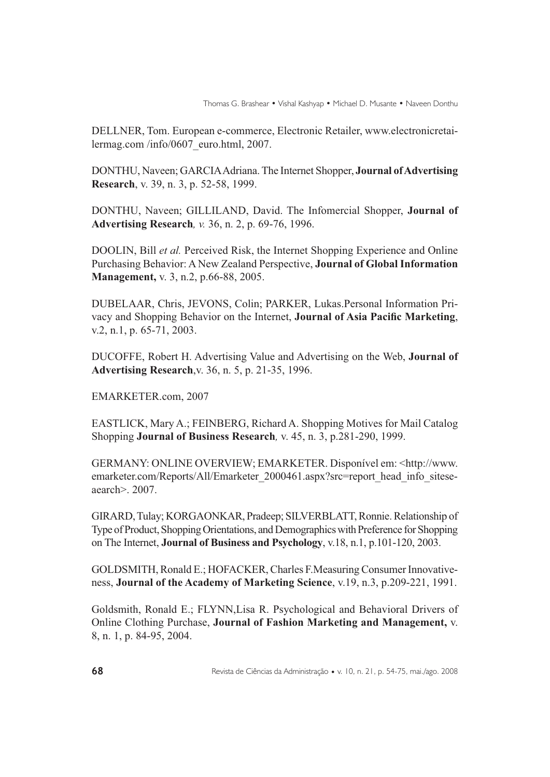DELLNER, Tom. European e-commerce, Electronic Retailer, www.electronicretailermag.com /info/0607\_euro.html, 2007.

DONTHU, Naveen; GARCIA Adriana. The Internet Shopper, **Journal of Advertising Research**, v. 39, n. 3, p. 52-58, 1999.

DONTHU, Naveen; GILLILAND, David. The Infomercial Shopper, **Journal of Advertising Research***, v.* 36, n. 2, p. 69-76, 1996.

DOOLIN, Bill *et al.* Perceived Risk, the Internet Shopping Experience and Online Purchasing Behavior: A New Zealand Perspective, **Journal of Global Information Management,** v. 3, n.2, p.66-88, 2005.

DUBELAAR, Chris, JEVONS, Colin; PARKER, Lukas.Personal Information Privacy and Shopping Behavior on the Internet, **Journal of Asia Pacific Marketing**, v.2, n.1, p. 65-71, 2003.

DUCOFFE, Robert H. Advertising Value and Advertising on the Web, **Journal of Advertising Research**,v. 36, n. 5, p. 21-35, 1996.

EMARKETER.com, 2007

EASTLICK, Mary A.; FEINBERG, Richard A. Shopping Motives for Mail Catalog Shopping **Journal of Business Research***,* v. 45, n. 3, p.281-290, 1999.

GERMANY: ONLINE OVERVIEW; EMARKETER. Disponível em: <http://www. emarketer.com/Reports/All/Emarketer\_2000461.aspx?src=report\_head\_info\_siteseaearch>. 2007.

GIRARD, Tulay; KORGAONKAR, Pradeep; SILVERBLATT, Ronnie. Relationship of Type of Product, Shopping Orientations, and Demographics with Preference for Shopping on The Internet, **Journal of Business and Psychology**, v.18, n.1, p.101-120, 2003.

GOLDSMITH, Ronald E.; HOFACKER, Charles F.Measuring Consumer Innovativeness, **Journal of the Academy of Marketing Science**, v.19, n.3, p.209-221, 1991.

Goldsmith, Ronald E.; FLYNN,Lisa R. Psychological and Behavioral Drivers of Online Clothing Purchase, **Journal of Fashion Marketing and Management,** v. 8, n. 1, p. 84-95, 2004.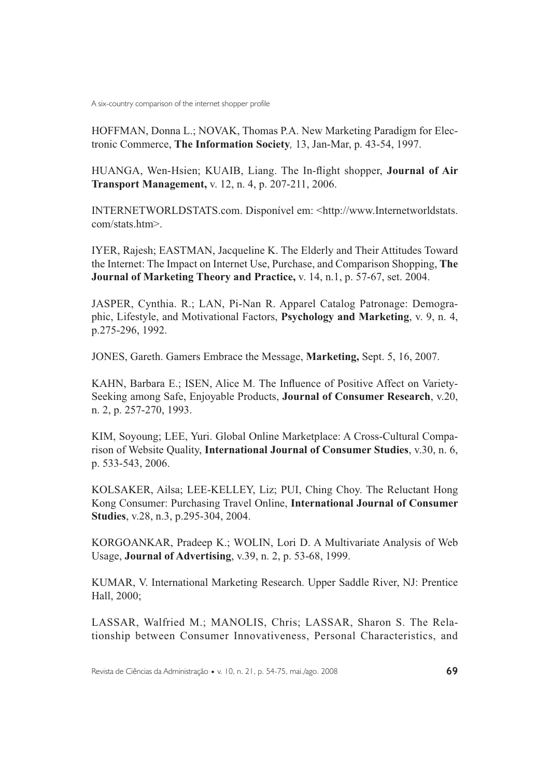HOFFMAN, Donna L.; NOVAK, Thomas P.A. New Marketing Paradigm for Electronic Commerce, **The Information Society***,* 13, Jan-Mar, p. 43-54, 1997.

HUANGA, Wen-Hsien; KUAIB, Liang. The In-flight shopper, **Journal of Air Transport Management,** v. 12, n. 4, p. 207-211, 2006.

INTERNETWORLDSTATS.com. Disponível em: <http://www.Internetworldstats. com/stats.htm>

IYER, Rajesh; EASTMAN, Jacqueline K. The Elderly and Their Attitudes Toward the Internet: The Impact on Internet Use, Purchase, and Comparison Shopping, **The Journal of Marketing Theory and Practice,** v. 14, n.1, p. 57-67, set. 2004.

JASPER, Cynthia. R.; LAN, Pi-Nan R. Apparel Catalog Patronage: Demographic, Lifestyle, and Motivational Factors, **Psychology and Marketing**, v. 9, n. 4, p.275-296, 1992.

JONES, Gareth. Gamers Embrace the Message, **Marketing,** Sept. 5, 16, 2007.

KAHN, Barbara E.; ISEN, Alice M. The Influence of Positive Affect on Variety-Seeking among Safe, Enjoyable Products, **Journal of Consumer Research**, v.20, n. 2, p. 257-270, 1993.

KIM, Soyoung; LEE, Yuri. Global Online Marketplace: A Cross-Cultural Comparison of Website Quality, **International Journal of Consumer Studies**, v.30, n. 6, p. 533-543, 2006.

KOLSAKER, Ailsa; LEE-KELLEY, Liz; PUI, Ching Choy. The Reluctant Hong Kong Consumer: Purchasing Travel Online, **International Journal of Consumer Studies**, v.28, n.3, p.295-304, 2004.

KORGOANKAR, Pradeep K.; WOLIN, Lori D. A Multivariate Analysis of Web Usage, **Journal of Advertising**, v.39, n. 2, p. 53-68, 1999.

KUMAR, V. International Marketing Research. Upper Saddle River, NJ: Prentice Hall, 2000;

LASSAR, Walfried M.; MANOLIS, Chris; LASSAR, Sharon S. The Relationship between Consumer Innovativeness, Personal Characteristics, and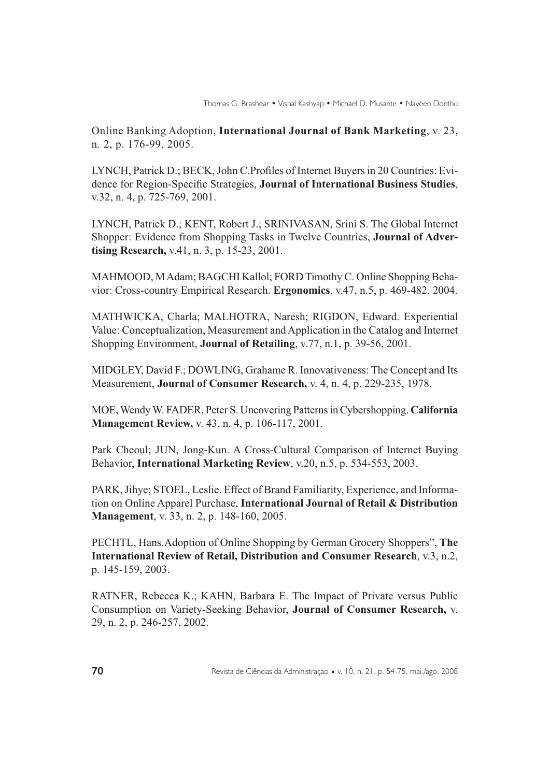Online Banking Adoption, **International Journal of Bank Marketing**, v. 23, n. 2, p. 176-99, 2005.

LYNCH, Patrick D.; BECK, John C.Profiles of Internet Buyers in 20 Countries: Evidence for Region-Specific Strategies, **Journal of International Business Studies**, v.32, n. 4, p. 725-769, 2001.

LYNCH, Patrick D.; KENT, Robert J.; SRINIVASAN, Srini S. The Global Internet Shopper: Evidence from Shopping Tasks in Twelve Countries, **Journal of Advertising Research,** v.41, n. 3, p. 15-23, 2001.

MAHMOOD, M Adam; BAGCHI Kallol; FORD Timothy C. Online Shopping Behavior: Cross-country Empirical Research. **Ergonomics**, v.47, n.5, p. 469-482, 2004.

MATHWICKA, Charla; MALHOTRA, Naresh; RIGDON, Edward. Experiential Value: Conceptualization, Measurement and Application in the Catalog and Internet Shopping Environment, **Journal of Retailing**, v.77, n.1, p. 39-56, 2001.

MIDGLEY, David F.; DOWLING, Grahame R. Innovativeness: The Concept and Its Measurement, **Journal of Consumer Research,** v. 4, n. 4, p. 229-235, 1978.

MOE, Wendy W. FADER, Peter S. Uncovering Patterns in Cybershopping. **California Management Review,** v. 43, n. 4, p. 106-117, 2001.

Park Cheoul; JUN, Jong-Kun. A Cross-Cultural Comparison of Internet Buying Behavior, **International Marketing Review**, v.20, n.5, p. 534-553, 2003.

PARK, Jihye; STOEL, Leslie. Effect of Brand Familiarity, Experience, and Information on Online Apparel Purchase, **International Journal of Retail & Distribution Management**, v. 33, n. 2, p. 148-160, 2005.

PECHTL, Hans.Adoption of Online Shopping by German Grocery Shoppers", **The International Review of Retail, Distribution and Consumer Research**, v.3, n.2, p. 145-159, 2003.

RATNER, Rebecca K.; KAHN, Barbara E. The Impact of Private versus Public Consumption on Variety-Seeking Behavior, **Journal of Consumer Research,** v. 29, n. 2, p. 246-257, 2002.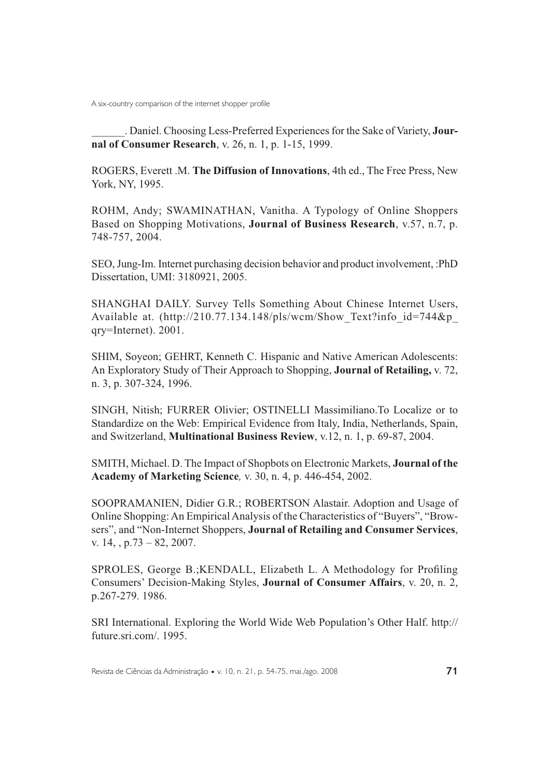\_\_\_\_\_\_. Daniel. Choosing Less-Preferred Experiences for the Sake of Variety, **Journal of Consumer Research**, v. 26, n. 1, p. 1-15, 1999.

ROGERS, Everett .M. **The Diffusion of Innovations**, 4th ed., The Free Press, New York, NY, 1995.

ROHM, Andy; SWAMINATHAN, Vanitha. A Typology of Online Shoppers Based on Shopping Motivations, **Journal of Business Research**, v.57, n.7, p. 748-757, 2004.

SEO, Jung-Im. Internet purchasing decision behavior and product involvement, :PhD Dissertation, UMI: 3180921, 2005.

SHANGHAI DAILY. Survey Tells Something About Chinese Internet Users, Available at. (http://210.77.134.148/pls/wcm/Show Text?info id=744&p qry=Internet). 2001.

SHIM, Soyeon; GEHRT, Kenneth C. Hispanic and Native American Adolescents: An Exploratory Study of Their Approach to Shopping, **Journal of Retailing,** v. 72, n. 3, p. 307-324, 1996.

SINGH, Nitish; FURRER Olivier; OSTINELLI Massimiliano.To Localize or to Standardize on the Web: Empirical Evidence from Italy, India, Netherlands, Spain, and Switzerland, **Multinational Business Review**, v.12, n. 1, p. 69-87, 2004.

SMITH, Michael. D. The Impact of Shopbots on Electronic Markets, **Journal of the Academy of Marketing Science***,* v. 30, n. 4, p. 446-454, 2002.

SOOPRAMANIEN, Didier G.R.; ROBERTSON Alastair. Adoption and Usage of Online Shopping: An Empirical Analysis of the Characteristics of "Buyers", "Browsers", and "Non-Internet Shoppers, **Journal of Retailing and Consumer Services**, v.  $14$ ,  $p.73 - 82$ ,  $2007$ .

SPROLES, George B.;KENDALL, Elizabeth L. A Methodology for Profiling Consumers' Decision-Making Styles, **Journal of Consumer Affairs**, v. 20, n. 2, p.267-279. 1986.

SRI International. Exploring the World Wide Web Population's Other Half. http:// future.sri.com/. 1995.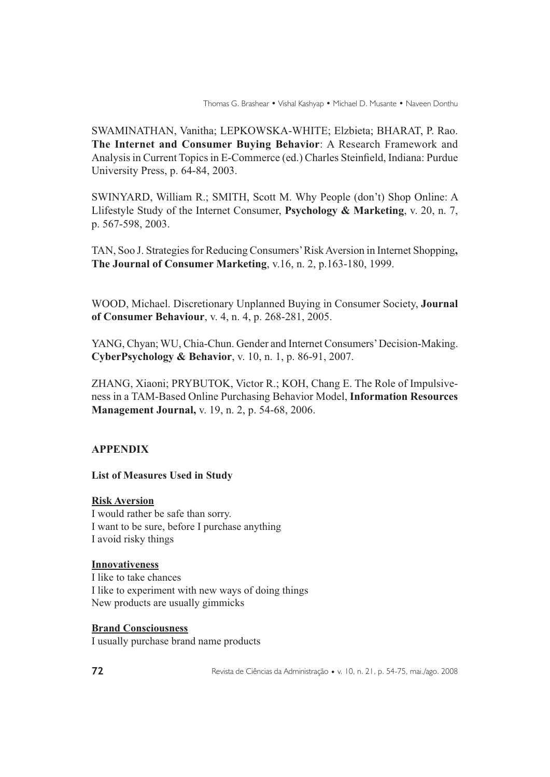SWAMINATHAN, Vanitha; LEPKOWSKA-WHITE; Elzbieta; BHARAT, P. Rao. **The Internet and Consumer Buying Behavior**: A Research Framework and Analysis in Current Topics in E-Commerce (ed.) Charles Steinfield, Indiana: Purdue University Press, p. 64-84, 2003.

SWINYARD, William R.; SMITH, Scott M. Why People (don't) Shop Online: A Llifestyle Study of the Internet Consumer, **Psychology & Marketing**, v. 20, n. 7, p. 567-598, 2003.

TAN, Soo J. Strategies for Reducing Consumers' Risk Aversion in Internet Shopping**, The Journal of Consumer Marketing**, v.16, n. 2, p.163-180, 1999.

WOOD, Michael. Discretionary Unplanned Buying in Consumer Society, **Journal of Consumer Behaviour**, v. 4, n. 4, p. 268-281, 2005.

YANG, Chyan; WU, Chia-Chun. Gender and Internet Consumers' Decision-Making. **CyberPsychology & Behavior**, v. 10, n. 1, p. 86-91, 2007.

ZHANG, Xiaoni; PRYBUTOK, Victor R.; KOH, Chang E. The Role of Impulsiveness in a TAM-Based Online Purchasing Behavior Model, **Information Resources Management Journal,** v. 19, n. 2, p. 54-68, 2006.

# **APPENDIX**

**List of Measures Used in Study**

### **Risk Aversion**

I would rather be safe than sorry. I want to be sure, before I purchase anything I avoid risky things

#### **Innovativeness**

I like to take chances I like to experiment with new ways of doing things New products are usually gimmicks

### **Brand Consciousness**

I usually purchase brand name products

Revista de Ciências da Administração • v. 10, n. 21, p. 54-75, mai./ago. 2008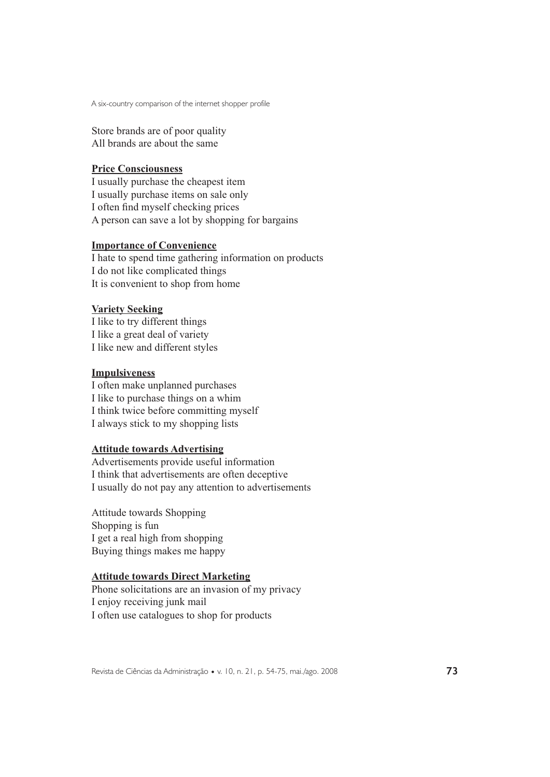Store brands are of poor quality All brands are about the same

# **Price Consciousness**

I usually purchase the cheapest item I usually purchase items on sale only I often find myself checking prices A person can save a lot by shopping for bargains

# **Importance of Convenience**

I hate to spend time gathering information on products I do not like complicated things It is convenient to shop from home

### **Variety Seeking**

I like to try different things I like a great deal of variety I like new and different styles

#### **Impulsiveness**

I often make unplanned purchases I like to purchase things on a whim I think twice before committing myself I always stick to my shopping lists

# **Attitude towards Advertising**

Advertisements provide useful information I think that advertisements are often deceptive I usually do not pay any attention to advertisements

Attitude towards Shopping Shopping is fun I get a real high from shopping Buying things makes me happy

# **Attitude towards Direct Marketing**

Phone solicitations are an invasion of my privacy I enjoy receiving junk mail I often use catalogues to shop for products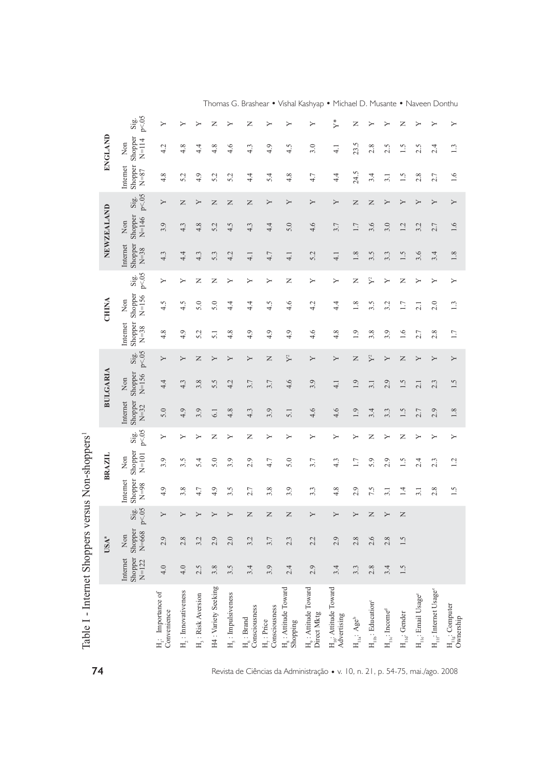| <b>ENGLAND</b>    | ${\rm p<}05$<br>$\mathrm{Sig}.$      | ≻                                             |                                 |                                | z                   |                       | z                                            |                               |                                              |                                                 | ⊱*                                               | z                   |                                 |                                                  | z                                  |                                            |                                    |                                                                                                                  |
|-------------------|--------------------------------------|-----------------------------------------------|---------------------------------|--------------------------------|---------------------|-----------------------|----------------------------------------------|-------------------------------|----------------------------------------------|-------------------------------------------------|--------------------------------------------------|---------------------|---------------------------------|--------------------------------------------------|------------------------------------|--------------------------------------------|------------------------------------|------------------------------------------------------------------------------------------------------------------|
|                   | Shopper<br>$N=114$<br>$_{\rm Non}$   | L,<br>4                                       | 4.8                             | 4.4                            | 4.8                 | 4.6                   | 4.3                                          | 4.9                           | 4.5                                          | 3.0                                             | $\frac{1}{4}$                                    | 23.5                | 2.8                             | 2.5                                              | 1.5                                | 2.5                                        | 2.4                                | 1.3                                                                                                              |
|                   | Shopper<br>Internet<br>$N=87$        | $\infty$<br>4.                                | 5.2                             | 4.9                            | 5.2                 | 5.2                   | 4.4                                          | 5.4                           | 4.8                                          | 4.7                                             | 4.4                                              | 24.5                | 3.4                             | 3.1                                              | 1.5                                | 2.8                                        | 2.7                                | 1.6                                                                                                              |
|                   | p < 0.5<br>$\mathrm{Si}\mathrm{g}$   | ≻                                             | Z                               | ≻                              | Z                   | Z                     | Z                                            | Υ                             | ≻                                            | ≻                                               | ≻                                                | Z                   | z                               | $\blacktriangleright$                            | ≻                                  | ≻                                          | ≻                                  | ≻                                                                                                                |
| <b>NEWZEALAND</b> | Shopper<br>$N = 146$<br>$_{\rm Non}$ | 3.9                                           | 4.3                             | 4.8                            | 5.2                 | 4.5                   | 4.3                                          | 4.4                           | 5.0                                          | 4.6                                             | 3.7                                              | 1.7                 | 3.6                             | 3.0                                              | 1.2                                | 3.2                                        | 2.7                                | 1.6                                                                                                              |
|                   | Shopper<br>Internet<br>$N=38$        | 4.3                                           | 4.4                             | 4.3                            | 5.3                 | 4.2                   | $\frac{1}{4}$                                | 4.7                           | $\frac{1}{4}$                                | 5.2                                             | $\frac{1}{4}$                                    | 1.8                 | 3.5                             | 3.3                                              | 1.5                                | 3.6                                        | 3.4                                | 1.8                                                                                                              |
|                   | p < 0.5<br>$\mathrm{Sig}$            | ≻                                             | ≻                               | z                              | z                   | ≻                     | ≻                                            | ≻                             | z                                            | ≻                                               | ≻                                                | z                   | $\sum$                          | ≻                                                | Z                                  | ≻                                          | ≻                                  | ≻                                                                                                                |
| <b>CHINA</b>      | Shopper<br>$N = 156$<br>Non          | 4.5                                           | 4.5                             | 5.0                            | 5.0                 | 4.4                   | 4.4                                          | 4.5                           | 4.6                                          | 4.2                                             | 4.4                                              | 1.8                 | 3.5                             | 3.2                                              | 1.7                                | 2.1                                        | 2.0                                | 1.3                                                                                                              |
|                   | Shopper<br>Internet<br>$N=38$        | 4.8                                           | 4.9                             | 5.2                            | $\overline{5.1}$    | 4.8                   | 4.9                                          | 4.9                           | 4.9                                          | 4.6                                             | 4.8                                              | 1.9                 | 3.8                             | 3.9                                              | 1.6                                | 2.7                                        | 2.8                                | 1.7                                                                                                              |
|                   | p < 0.5<br>$\overline{\text{Sig}}$   | Υ                                             | ≻                               | z                              | Υ                   | Υ                     | Υ                                            | Z                             | $Y^2$                                        | ≻                                               | Υ                                                | Z                   | $Y^2$                           | Υ                                                | Z                                  | Υ                                          | Υ                                  | ≻                                                                                                                |
| <b>BULGARIA</b>   | Shopper<br>$N = 156$<br>Non          | 4.4                                           | 4.3                             | 3.8                            | 5.5                 | 4.2                   | 3.7                                          | 3.7                           | 4.6                                          | 3.9                                             | 4.1                                              | 1.9                 | 3.1                             | 2.9                                              | 1.5                                | 2.1                                        | 2.3                                | 1.5                                                                                                              |
|                   | Shopper<br>Internet<br>$N=32$        | 5.0                                           | 4.9                             | 3.9                            | 6.1                 | 4.8                   | 4.3                                          | 3.9                           | 5.1                                          | 4.6                                             | 4.6                                              | 1.9                 | 3.4                             | 3.3                                              | 1.5                                | 2.7                                        | 2.9                                | $1.8\,$                                                                                                          |
|                   | p < 0.5<br>Sig.                      | ≻                                             | ≻                               | ≻                              | z                   | Υ                     | z                                            | Υ                             | Υ                                            | ≻                                               | ≻                                                | ≻                   | z                               | Υ                                                | z                                  | ≻                                          | ≻                                  | ≻                                                                                                                |
| <b>BRAZIL</b>     | Shopper<br>$N=101$<br>Non            | 3.9                                           | 3.5                             | 5.4                            | 5.0                 | 3.9                   | 2.9                                          | 4.7                           | 5.0                                          | 3.7                                             | 4.3                                              | 1.7                 | 5.9                             | 2.9                                              | 1.5                                | 2.4                                        | 2.3                                | 1.2                                                                                                              |
|                   | Shopper<br>Internet<br>$N=98$        | 4.9                                           | 3.8                             | 4.7                            | 4.9                 | 3.5                   | 2.7                                          | 3.8                           | 3.9                                          | 3.3                                             | 4.8                                              | 2.9                 | 7.5                             | 3.1                                              | 1.4                                | 3.1                                        | 2.8                                | 1.5                                                                                                              |
| USA <sup>a</sup>  | p< 05<br>Sig.                        | Υ                                             | ≻                               |                                | ≻                   | Υ                     | Z                                            | Z                             | Z                                            | ≻                                               | ≻                                                | Υ                   | $\succ$                         | Υ                                                | $\square$                          |                                            |                                    |                                                                                                                  |
|                   | Shopper<br>N=668<br>$\mbox{Non}$     | 2.9                                           | 2.8                             | 3.2                            | 2.9                 | 2.0                   | 3.2                                          | 3.7                           | 2.3                                          | 2.2                                             | 2.9                                              | 2.8                 | 2.6                             | 2.8                                              | 1.5                                |                                            |                                    |                                                                                                                  |
|                   | Shopper<br>Internet<br>$N = 122$     | 4.0                                           | 4.0                             | 2.5                            | 3.8                 | 3.5                   | 3.4                                          | 3.9                           | 2.4                                          | 2.9                                             | 3.4                                              | 3.3                 | 2.8                             | 3.4                                              | 1.5                                |                                            |                                    |                                                                                                                  |
|                   |                                      | H <sub>1</sub> : Importance of<br>Convenience | H <sub>2</sub> : Innovativeness | H <sub>3</sub> : Risk Aversion | H4: Variety Seeking | $H_s$ : Impulsiveness | Consciousness<br>$\mathbf{H}_{_{6}}$ : Brand | Consciousness<br>$H7$ : Price | H <sub>8</sub> : Attitude Toward<br>Shopping | H <sub>9</sub> : Attitude Toward<br>Direct Mktg | H <sub>10</sub> : Attitude Toward<br>Advertising | $H_{11a}$ : $Age^b$ | $H_{\rm{lib}}$ : Education<br>" | $\mathbf{H}_\mathrm{11c}$ : Income $^\mathrm{d}$ | $\mathbf{H}_{\text{11d}}$ : Gender | $\mathbf{H}_{\mathrm{11c}}$ : Email Usage® | $H_{\text{inf}}$ : Internet Usage® | $\begin{array}{l} \mathbf{H}_{1\mathbf{I}_\mathbf{B}} \colon \textbf{Computer} \\ \textbf{Overship} \end{array}$ |

Thomas G. Brashear • Vishal Kashyap • Michael D. Musante • Naveen Donthu

Revista de Ciências da Administração • v. 10, n. 21, p. 54-75, mai./ago. 2008

Table I - Internet Shoppers versus Non-shoppers Table I - Internet Shoppers versus Non-shoppers<sup>1</sup>

**74**